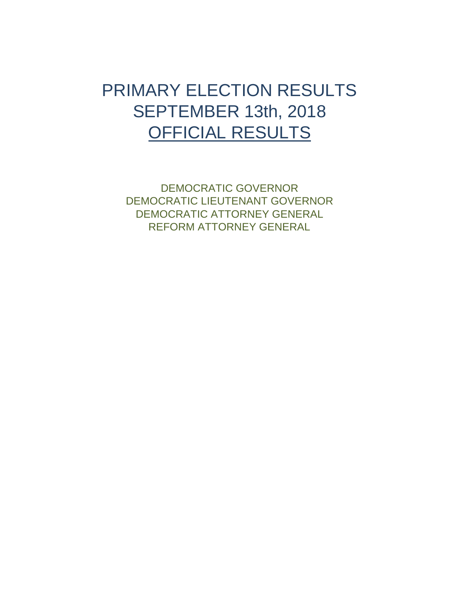## <span id="page-0-0"></span>PRIMARY ELECTION RESULTS SEPTEMBER 13th, 2018 OFFICIAL RESULTS

[DEMOCRATIC GOVERNOR](#page-1-0) [DEMOCRATIC LIEUTENANT GOVERNOR](#page-2-0) [DEMOCRATIC ATTORNEY GENERAL](#page-3-0) [REFORM ATTORNEY GENERAL](#page-4-0)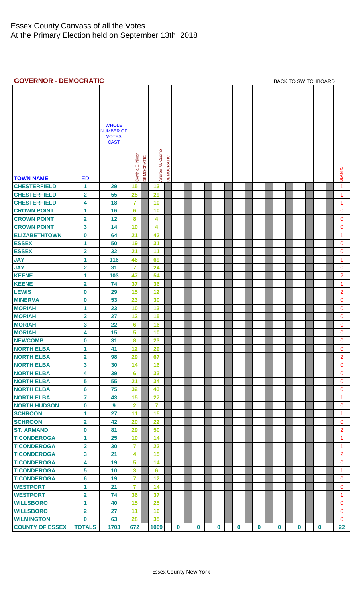## <span id="page-1-0"></span>**GOVERNOR - DEMOCRATIC [BACK TO SWITCHBOARD](#page-0-0)**

| <b>TOWN NAME</b>       | <b>ED</b>               | <b>WHOLE</b><br><b>NUMBER OF</b><br><b>VOTES</b><br><b>CAST</b> | Cynthia E. Nixon | DEMOCRATIC | Andrew M. Cuomo | DEMOCRATIC |             |          |          |          |          |          |             |             | <b>BLANKS</b>  |
|------------------------|-------------------------|-----------------------------------------------------------------|------------------|------------|-----------------|------------|-------------|----------|----------|----------|----------|----------|-------------|-------------|----------------|
| <b>CHESTERFIELD</b>    | 1                       | 29                                                              | 15               |            | 13              |            |             |          |          |          |          |          |             |             | 1              |
| <b>CHESTERFIELD</b>    | $\overline{\mathbf{2}}$ | 55                                                              | 25               |            | 29              |            |             |          |          |          |          |          |             |             | 1              |
| <b>CHESTERFIELD</b>    | 4                       | 18                                                              | $\overline{7}$   |            | 10              |            |             |          |          |          |          |          |             |             | 1              |
| <b>CROWN POINT</b>     | 1                       | 16                                                              | 6                |            | 10              |            |             |          |          |          |          |          |             |             | $\mathbf{0}$   |
| <b>CROWN POINT</b>     | $\overline{\mathbf{2}}$ | 12                                                              | $\pmb{8}$        |            | 4               |            |             |          |          |          |          |          |             |             | $\overline{0}$ |
| <b>CROWN POINT</b>     | 3                       | 14                                                              | 10               |            | 4               |            |             |          |          |          |          |          |             |             | $\mathbf{0}$   |
|                        |                         |                                                                 |                  |            |                 |            |             |          |          |          |          |          |             |             | 1              |
| <b>ELIZABETHTOWN</b>   | $\boldsymbol{0}$        | 64                                                              | 21               |            | 42              |            |             |          |          |          |          |          |             |             |                |
| <b>ESSEX</b>           | 1                       | 50                                                              | 19               |            | 31              |            |             |          |          |          |          |          |             |             | $\mathbf{0}$   |
| <b>ESSEX</b>           | $\overline{\mathbf{2}}$ | 32                                                              | 21               |            | 11              |            |             |          |          |          |          |          |             |             | $\mathbf{0}$   |
| <b>JAY</b>             | 1                       | 116                                                             | 46               |            | 69              |            |             |          |          |          |          |          |             |             | 1              |
| <b>JAY</b>             | $\overline{\mathbf{2}}$ | 31                                                              | $\overline{7}$   |            | 24              |            |             |          |          |          |          |          |             |             | $\mathbf{0}$   |
| <b>KEENE</b>           | 1                       | 103                                                             | 47               |            | 54              |            |             |          |          |          |          |          |             |             | $\overline{2}$ |
| <b>KEENE</b>           | $\overline{2}$          | 74                                                              | 37               |            | 36              |            |             |          |          |          |          |          |             |             | 1              |
| <b>LEWIS</b>           | $\bf{0}$                | 29                                                              | 15               |            | 12              |            |             |          |          |          |          |          |             |             | $\overline{2}$ |
| <b>MINERVA</b>         | $\boldsymbol{0}$        | 53                                                              | 23               |            | 30              |            |             |          |          |          |          |          |             |             | $\mathbf{0}$   |
| <b>MORIAH</b>          | 1                       | 23                                                              | 10               |            | 13              |            |             |          |          |          |          |          |             |             | $\mathbf 0$    |
| <b>MORIAH</b>          | $\overline{2}$          | 27                                                              | 12               |            | 15              |            |             |          |          |          |          |          |             |             | $\mathbf 0$    |
| <b>MORIAH</b>          | 3                       | 22                                                              | 6                |            | 16              |            |             |          |          |          |          |          |             |             | $\mathbf{0}$   |
| <b>MORIAH</b>          | 4                       | 15                                                              | 5                |            | 10              |            |             |          |          |          |          |          |             |             | $\mathbf{0}$   |
| <b>NEWCOMB</b>         | $\mathbf 0$             | 31                                                              | 8                |            | 23              |            |             |          |          |          |          |          |             |             | $\overline{0}$ |
| <b>NORTH ELBA</b>      | 1                       | 41                                                              | 12               |            | 29              |            |             |          |          |          |          |          |             |             | $\overline{0}$ |
| <b>NORTH ELBA</b>      | $\overline{2}$          | 98                                                              | 29               |            | 67              |            |             |          |          |          |          |          |             |             | $\overline{2}$ |
| <b>NORTH ELBA</b>      | 3                       | 30                                                              | 14               |            | 16              |            |             |          |          |          |          |          |             |             | 0              |
| <b>NORTH ELBA</b>      | 4                       | 39                                                              | $6\phantom{a}$   |            | 33              |            |             |          |          |          |          |          |             |             | $\mathbf{0}$   |
| <b>NORTH ELBA</b>      | 5                       | 55                                                              | 21               |            | 34              |            |             |          |          |          |          |          |             |             | $\mathbf{0}$   |
| <b>NORTH ELBA</b>      | $6\phantom{a}$          | 75                                                              | 32               |            | 43              |            |             |          |          |          |          |          |             |             | $\mathbf{0}$   |
| <b>NORTH ELBA</b>      | $\overline{7}$          | 43                                                              | 15               |            | 27              |            |             |          |          |          |          |          |             |             | 1              |
| <b>NORTH HUDSON</b>    | $\mathbf 0$             | 9                                                               | $\overline{2}$   |            | $\overline{7}$  |            |             |          |          |          |          |          |             |             | $\mathbf{0}$   |
| <b>SCHROON</b>         | 1                       | 27                                                              | 11               |            | 15              |            |             |          |          |          |          |          |             |             | $\mathbf{1}$   |
| <b>SCHROON</b>         | $\overline{\mathbf{2}}$ | 42                                                              | 20               |            | 22              |            |             |          |          |          |          |          |             |             | $\mathbf{0}$   |
| <b>ST. ARMAND</b>      | $\pmb{0}$               | 81                                                              | 29               |            | 50              |            |             |          |          |          |          |          |             |             | $\overline{2}$ |
| <b>TICONDEROGA</b>     | 1                       | 25                                                              | 10               |            | 14              |            |             |          |          |          |          |          |             |             | 1              |
| <b>TICONDEROGA</b>     | $\overline{\mathbf{2}}$ | 30                                                              | $\overline{7}$   |            | 22              |            |             |          |          |          |          |          |             |             | $\mathbf{1}$   |
| <b>TICONDEROGA</b>     | $\overline{\mathbf{3}}$ | 21                                                              | 4                |            | 15              |            |             |          |          |          |          |          |             |             | $\overline{2}$ |
| <b>TICONDEROGA</b>     | 4                       | 19                                                              | 5                |            | 14              |            |             |          |          |          |          |          |             |             | $\mathbf{0}$   |
| <b>TICONDEROGA</b>     | 5                       | 10                                                              | 3                |            | 6               |            |             |          |          |          |          |          |             |             | 1              |
| <b>TICONDEROGA</b>     | $6\phantom{a}$          | 19                                                              | $\overline{7}$   |            | 12              |            |             |          |          |          |          |          |             |             | $\mathbf{0}$   |
| <b>WESTPORT</b>        | 1                       | 21                                                              | $\overline{7}$   |            | 14              |            |             |          |          |          |          |          |             |             | $\overline{0}$ |
| <b>WESTPORT</b>        | $\overline{2}$          | 74                                                              | 36               |            | 37              |            |             |          |          |          |          |          |             |             | $\mathbf{1}$   |
| <b>WILLSBORO</b>       | 1                       | 40                                                              | 15               |            | 25              |            |             |          |          |          |          |          |             |             | $\mathbf{0}$   |
| <b>WILLSBORO</b>       | $\overline{2}$          | 27                                                              | 11               |            | 16              |            |             |          |          |          |          |          |             |             | $\mathbf{0}$   |
| <b>WILMINGTON</b>      | $\mathbf 0$             | 63                                                              | 28               |            | 35              |            |             |          |          |          |          |          |             |             | $\mathbf{0}$   |
| <b>COUNTY OF ESSEX</b> | <b>TOTALS</b>           | 1703                                                            | 672              |            | 1009            |            | $\mathbf 0$ | $\bf{0}$ | $\bf{0}$ | $\bf{0}$ | $\bf{0}$ | $\bf{0}$ | $\mathbf 0$ | $\mathbf 0$ | 22             |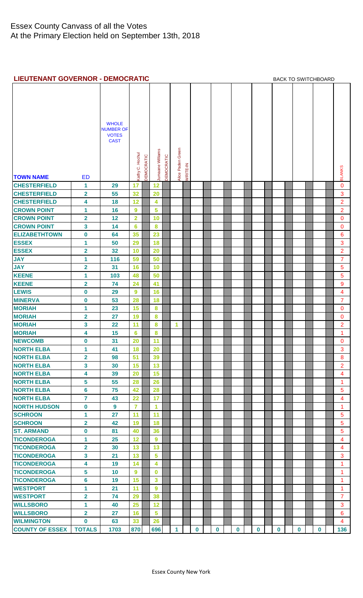## <span id="page-2-0"></span>**LIEUTENANT GOVERNOR - DEMOCRATIC [BACK TO SWITCHBOARD](#page-0-0)**

| <b>CILD I LIVAINT GOVERNOR - DEMOCRATIC</b> |                         |                                                                 |                  |            |                  |            |                   |          |          |          |             |             |          | DAUN TU SWITUNDUAND |          |                      |
|---------------------------------------------|-------------------------|-----------------------------------------------------------------|------------------|------------|------------------|------------|-------------------|----------|----------|----------|-------------|-------------|----------|---------------------|----------|----------------------|
|                                             |                         | <b>WHOLE</b><br><b>NUMBER OF</b><br><b>VOTES</b><br><b>CAST</b> |                  |            |                  |            |                   |          |          |          |             |             |          |                     |          |                      |
|                                             |                         |                                                                 |                  |            |                  |            |                   |          |          |          |             |             |          |                     |          |                      |
|                                             |                         |                                                                 |                  |            |                  |            |                   |          |          |          |             |             |          |                     |          |                      |
|                                             |                         |                                                                 |                  |            |                  |            |                   |          |          |          |             |             |          |                     |          |                      |
|                                             |                         |                                                                 | Kathy C. Hochul  | DEMOCRATIC | Jumaane Williams | DEMOCRATIC | Alice Paden Green | WRITE-IN |          |          |             |             |          |                     |          | <b>BLANKS</b>        |
| <b>TOWN NAME</b>                            | <b>ED</b>               |                                                                 |                  |            |                  |            |                   |          |          |          |             |             |          |                     |          |                      |
| <b>CHESTERFIELD</b>                         | 1                       | 29                                                              | 17               |            | 12 <sub>2</sub>  |            |                   |          |          |          |             |             |          |                     |          | $\mathbf 0$          |
| <b>CHESTERFIELD</b>                         | $\overline{\mathbf{2}}$ | 55                                                              | 32               |            | 20               |            |                   |          |          |          |             |             |          |                     |          | 3                    |
| <b>CHESTERFIELD</b>                         | 4                       | 18                                                              | 12               |            | 4                |            |                   |          |          |          |             |             |          |                     |          | $\overline{2}$       |
| <b>CROWN POINT</b>                          | 1                       | 16                                                              | 9                |            | $5\phantom{a}$   |            |                   |          |          |          |             |             |          |                     |          | $\overline{2}$       |
| <b>CROWN POINT</b>                          | $\overline{\mathbf{2}}$ | 12                                                              | $\overline{2}$   |            | 10               |            |                   |          |          |          |             |             |          |                     |          | $\mathbf{0}$         |
| <b>CROWN POINT</b>                          | 3                       | 14                                                              | $6\phantom{1}6$  |            | 8                |            |                   |          |          |          |             |             |          |                     |          | $\mathbf{0}$         |
| <b>ELIZABETHTOWN</b>                        | $\mathbf 0$             | 64                                                              | 35               |            | 23               |            |                   |          |          |          |             |             |          |                     |          | 6                    |
| <b>ESSEX</b>                                | 1                       | 50                                                              | 29               |            | 18               |            |                   |          |          |          |             |             |          |                     |          | 3                    |
| <b>ESSEX</b>                                | $\overline{\mathbf{2}}$ | 32                                                              | 10               |            | 20               |            |                   |          |          |          |             |             |          |                     |          | $\overline{2}$       |
| <b>JAY</b>                                  | 1                       | 116                                                             | 59               |            | 50               |            |                   |          |          |          |             |             |          |                     |          | $\overline{7}$       |
| <b>JAY</b>                                  | $\overline{\mathbf{2}}$ | 31                                                              | 16               |            | 10               |            |                   |          |          |          |             |             |          |                     |          | 5                    |
| <b>KEENE</b>                                | 1                       | 103                                                             | 48               |            | 50               |            |                   |          |          |          |             |             |          |                     |          | $5\phantom{.0}$      |
| <b>KEENE</b>                                | $\overline{\mathbf{2}}$ | 74                                                              | 24               |            | 41               |            |                   |          |          |          |             |             |          |                     |          | 9                    |
| <b>LEWIS</b>                                | 0                       | 29                                                              | $\boldsymbol{9}$ |            | 16               |            |                   |          |          |          |             |             |          |                     |          | $\overline{4}$       |
| <b>MINERVA</b>                              | $\bf{0}$                | 53                                                              | 28               |            | 18               |            |                   |          |          |          |             |             |          |                     |          | $\overline{7}$       |
| <b>MORIAH</b>                               | 1                       | 23                                                              | 15               |            | 8                |            |                   |          |          |          |             |             |          |                     |          | $\mathbf{0}$         |
| <b>MORIAH</b>                               | $\overline{\mathbf{2}}$ | 27                                                              | 19               |            | 8                |            |                   |          |          |          |             |             |          |                     |          | $\mathbf 0$          |
| <b>MORIAH</b>                               | 3                       | 22                                                              | 11               |            | 8                |            | 1                 |          |          |          |             |             |          |                     |          | $\overline{2}$       |
| <b>MORIAH</b>                               | 4                       | 15                                                              | 6                |            | 8                |            |                   |          |          |          |             |             |          |                     |          | $\mathbf{1}$         |
| <b>NEWCOMB</b>                              | $\mathbf 0$             | 31                                                              | 20               |            | 11               |            |                   |          |          |          |             |             |          |                     |          | $\mathbf{0}$         |
| <b>NORTH ELBA</b>                           | 1                       | 41                                                              | 18               |            | 20               |            |                   |          |          |          |             |             |          |                     |          | 3                    |
| <b>NORTH ELBA</b>                           | $\overline{2}$          | 98                                                              | 51               |            | 39               |            |                   |          |          |          |             |             |          |                     |          | 8                    |
| <b>NORTH ELBA</b>                           | 3                       | 30                                                              | 15               |            | 13               |            |                   |          |          |          |             |             |          |                     |          | $\overline{2}$       |
| <b>NORTH ELBA</b>                           | 4                       | 39                                                              | 20               |            | 15               |            |                   |          |          |          |             |             |          |                     |          | $\overline{4}$       |
| <b>NORTH ELBA</b>                           | 5                       | 55                                                              | 28               |            | 26               |            |                   |          |          |          |             |             |          |                     |          | 1                    |
| <b>NORTH ELBA</b>                           | 6                       | 75                                                              | 42               |            | 28               |            |                   |          |          |          |             |             |          |                     |          | 5                    |
| <b>NORTH ELBA</b>                           | $\overline{7}$          | 43                                                              | 22               |            | 17               |            |                   |          |          |          |             |             |          |                     |          | $\overline{4}$       |
| <b>NORTH HUDSON</b>                         | 0                       | 9                                                               | $\overline{7}$   |            | 1                |            |                   |          |          |          |             |             |          |                     |          | 1                    |
| <b>SCHROON</b>                              | 1                       | 27                                                              | 11               |            | 11               |            |                   |          |          |          |             |             |          |                     |          | 5                    |
| <b>SCHROON</b>                              | $\overline{\mathbf{2}}$ | 42                                                              | 19               |            | 18               |            |                   |          |          |          |             |             |          |                     |          | $\overline{5}$       |
| <b>ST. ARMAND</b>                           | $\bf{0}$                | 81                                                              | 40               |            | 36               |            |                   |          |          |          |             |             |          |                     |          | 5                    |
| <b>TICONDEROGA</b>                          | 1                       | 25                                                              | 12               |            | 9                |            |                   |          |          |          |             |             |          |                     |          | $\overline{4}$       |
| <b>TICONDEROGA</b>                          | $\overline{\mathbf{2}}$ | 30                                                              | 13               |            | 13               |            |                   |          |          |          |             |             |          |                     |          | 4                    |
| <b>TICONDEROGA</b>                          | 3                       | 21                                                              | 13               |            | 5                |            |                   |          |          |          |             |             |          |                     |          | 3                    |
| <b>TICONDEROGA</b>                          | 4                       | 19                                                              | 14               |            | 4                |            |                   |          |          |          |             |             |          |                     |          | $\mathbf{1}$         |
| <b>TICONDEROGA</b>                          | 5                       | 10                                                              | 9                |            | $\bf{0}$         |            |                   |          |          |          |             |             |          |                     |          | 1                    |
| <b>TICONDEROGA</b>                          | 6                       | 19                                                              | 15               |            | 3                |            |                   |          |          |          |             |             |          |                     |          | $\mathbf{1}$         |
| <b>WESTPORT</b>                             | 1                       | 21                                                              | 11               |            | $\overline{9}$   |            |                   |          |          |          |             |             |          |                     |          | $\blacktriangleleft$ |
| <b>WESTPORT</b>                             | $\overline{\mathbf{2}}$ | 74                                                              | 29               |            | 38               |            |                   |          |          |          |             |             |          |                     |          | $\overline{7}$       |
| <b>WILLSBORO</b>                            | 1                       | 40                                                              | 25               |            | 12               |            |                   |          |          |          |             |             |          |                     |          | 3                    |
| <b>WILLSBORO</b>                            | $\overline{\mathbf{2}}$ | 27                                                              | 16               |            | $5\phantom{1}$   |            |                   |          |          |          |             |             |          |                     |          | $6\phantom{1}$       |
| <b>WILMINGTON</b>                           | $\mathbf 0$             | 63                                                              | 33               |            | 26               |            |                   |          |          |          |             |             |          |                     |          | $\overline{4}$       |
| <b>COUNTY OF ESSEX</b>                      | <b>TOTALS</b>           | 1703                                                            | 870              |            | 696              |            | 1                 |          | $\bf{0}$ | $\bf{0}$ | $\mathbf 0$ | $\mathbf 0$ | $\bf{0}$ | $\bf{0}$            | $\bf{0}$ | 136                  |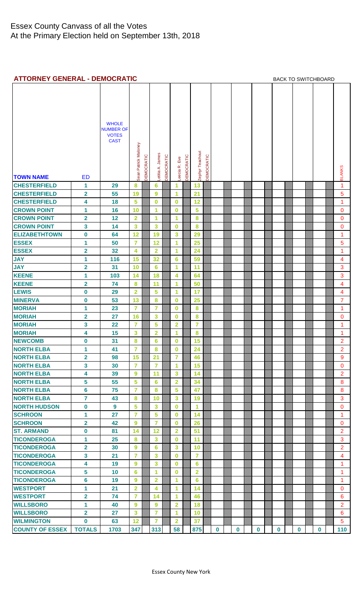<span id="page-3-0"></span>

| <b>ATTORNEY GENERAL - DEMOCRATIC</b> |                         |                                                                 |                      |            |                         |            |                 |            |                 |            |             |  |             | <b>BACK TO SWITCHBOARD</b> |  |             |  |             |  |          |  |                |
|--------------------------------------|-------------------------|-----------------------------------------------------------------|----------------------|------------|-------------------------|------------|-----------------|------------|-----------------|------------|-------------|--|-------------|----------------------------|--|-------------|--|-------------|--|----------|--|----------------|
| <b>TOWN NAME</b>                     | <b>ED</b>               | <b>WHOLE</b><br><b>NUMBER OF</b><br><b>VOTES</b><br><b>CAST</b> | Sean Patrick Maloney | DEMOCRATIC | Letitia A. James        | DEMOCRATIC | Eve<br>eecia R. | DEMOCRATIC | Zephyr Teachout | DEMOCRATIC |             |  |             |                            |  |             |  |             |  |          |  | <b>BLANKS</b>  |
| <b>CHESTERFIELD</b>                  | 1                       | 29                                                              | 8                    |            | 6                       |            | 1               |            | 13              |            |             |  |             |                            |  |             |  |             |  |          |  | 1              |
| <b>CHESTERFIELD</b>                  | $\overline{\mathbf{2}}$ | 55                                                              | 19                   |            | 9                       |            | 1               |            | 21              |            |             |  |             |                            |  |             |  |             |  |          |  | 5              |
| <b>CHESTERFIELD</b>                  | 4                       | 18                                                              | 5                    |            | 0                       |            | $\bf{0}$        |            | 12              |            |             |  |             |                            |  |             |  |             |  |          |  | $\mathbf{1}$   |
| <b>CROWN POINT</b>                   | 1                       | 16                                                              | 10                   |            | 1                       |            | $\bf{0}$        |            | 5               |            |             |  |             |                            |  |             |  |             |  |          |  | 0              |
| <b>CROWN POINT</b>                   | $\overline{\mathbf{2}}$ | 12                                                              | $\overline{2}$       |            | 1                       |            | 1               |            | 8               |            |             |  |             |                            |  |             |  |             |  |          |  | $\mathbf 0$    |
| <b>CROWN POINT</b>                   | 3                       | 14                                                              | 3                    |            | 3                       |            | $\bf{0}$        |            | 8               |            |             |  |             |                            |  |             |  |             |  |          |  | $\mathbf{0}$   |
| <b>ELIZABETHTOWN</b>                 | $\mathbf 0$             | 64                                                              | 12                   |            | 19                      |            | 3               |            | 29              |            |             |  |             |                            |  |             |  |             |  |          |  | 1              |
| <b>ESSEX</b>                         | 1                       | 50                                                              | $\overline{7}$       |            | 12                      |            | 1               |            | 25              |            |             |  |             |                            |  |             |  |             |  |          |  | 5              |
| <b>ESSEX</b>                         | 2                       | 32                                                              | 4                    |            | $\overline{2}$          |            | 1               |            | 24              |            |             |  |             |                            |  |             |  |             |  |          |  | 1              |
| <b>JAY</b>                           | 1                       | 116                                                             | 15                   |            | 32                      |            | $6\phantom{1}6$ |            | 59              |            |             |  |             |                            |  |             |  |             |  |          |  | 4              |
| <b>JAY</b>                           | $\overline{\mathbf{2}}$ | 31                                                              | 10                   |            | $6\phantom{1}6$         |            | 1               |            | 11              |            |             |  |             |                            |  |             |  |             |  |          |  | 3              |
| <b>KEENE</b>                         | 1                       | 103                                                             | 14                   |            | 18                      |            | 4               |            | 64              |            |             |  |             |                            |  |             |  |             |  |          |  | 3              |
| <b>KEENE</b>                         | $\overline{\mathbf{2}}$ | 74                                                              | 8                    |            | 11                      |            | 1               |            | 50              |            |             |  |             |                            |  |             |  |             |  |          |  | 4              |
| <b>LEWIS</b>                         | $\boldsymbol{0}$        | 29                                                              | $\overline{2}$       |            | 5                       |            | 1               |            | 17              |            |             |  |             |                            |  |             |  |             |  |          |  | 4              |
| <b>MINERVA</b>                       | 0                       | 53                                                              | 13                   |            | 8                       |            | $\bf{0}$        |            | 25              |            |             |  |             |                            |  |             |  |             |  |          |  | $\overline{7}$ |
| <b>MORIAH</b>                        | 1                       | 23                                                              | $\overline{7}$       |            | $\overline{7}$          |            | $\bf{0}$        |            | 8               |            |             |  |             |                            |  |             |  |             |  |          |  | $\mathbf{1}$   |
| <b>MORIAH</b>                        | $\overline{\mathbf{2}}$ | 27                                                              | 16                   |            | 3                       |            | 0               |            | 8               |            |             |  |             |                            |  |             |  |             |  |          |  | 0              |
| <b>MORIAH</b>                        | 3                       | 22                                                              | $\overline{7}$       |            | 5                       |            | $\overline{2}$  |            | 7               |            |             |  |             |                            |  |             |  |             |  |          |  | 1              |
| <b>MORIAH</b>                        | 4                       | 15                                                              | 3                    |            | $\overline{2}$          |            | 1               |            | 8               |            |             |  |             |                            |  |             |  |             |  |          |  | 1              |
| <b>NEWCOMB</b>                       | $\mathbf 0$             | 31                                                              | 8                    |            | $6\overline{6}$         |            | $\mathbf 0$     |            | 15              |            |             |  |             |                            |  |             |  |             |  |          |  | $\overline{2}$ |
| <b>NORTH ELBA</b>                    | 1                       | 41                                                              | $\overline{7}$       |            | 8                       |            | $\bf{0}$        |            | 24              |            |             |  |             |                            |  |             |  |             |  |          |  | $\overline{2}$ |
| <b>NORTH ELBA</b>                    | 2                       | 98                                                              | 15                   |            | 21                      |            | $\overline{7}$  |            | 46              |            |             |  |             |                            |  |             |  |             |  |          |  | 9              |
| <b>NORTH ELBA</b>                    | 3                       | 30                                                              | $\overline{7}$       |            | $\overline{7}$          |            | 1               |            | 15              |            |             |  |             |                            |  |             |  |             |  |          |  | $\mathbf{O}$   |
| <b>NORTH ELBA</b>                    | 4                       | 39                                                              | 9                    |            | 11                      |            | 3               |            | 14              |            |             |  |             |                            |  |             |  |             |  |          |  | $\overline{2}$ |
| <b>NORTH ELBA</b>                    | 5                       | 55                                                              | 5                    |            | $6\phantom{a}$          |            | $\overline{2}$  |            | 34              |            |             |  |             |                            |  |             |  |             |  |          |  | 8              |
| <b>NORTH ELBA</b>                    | 6                       | 75                                                              | $\overline{7}$       |            | 8                       |            | 5               |            | 47              |            |             |  |             |                            |  |             |  |             |  |          |  | 8              |
| <b>NORTH ELBA</b>                    | 7                       | 43                                                              | 8                    |            | 10                      |            | 3               |            | 19              |            |             |  |             |                            |  |             |  |             |  |          |  | 3              |
| <b>NORTH HUDSON</b>                  | $\mathbf 0$             | $\boldsymbol{9}$                                                | 5                    |            | 3                       |            | $\bf{0}$        |            | 1               |            |             |  |             |                            |  |             |  |             |  |          |  | $\mathbf{O}$   |
| <b>SCHROON</b>                       | 1                       | 27                                                              | $\overline{7}$       |            | 5                       |            | $\bf{0}$        |            | 14              |            |             |  |             |                            |  |             |  |             |  |          |  | 1              |
| <b>SCHROON</b>                       | $\overline{\mathbf{2}}$ | 42                                                              | 9                    |            | $\overline{7}$          |            | 0               |            | 26              |            |             |  |             |                            |  |             |  |             |  |          |  | $\mathbf{0}$   |
| <b>ST. ARMAND</b>                    | 0                       | 81                                                              | 14                   |            | 12                      |            | $\overline{2}$  |            | 51              |            |             |  |             |                            |  |             |  |             |  |          |  | $\overline{2}$ |
| <b>TICONDEROGA</b>                   | 1                       | 25                                                              | 8                    |            | 3                       |            | $\bf{0}$        |            | 11              |            |             |  |             |                            |  |             |  |             |  |          |  | 3              |
| <b>TICONDEROGA</b>                   | $\overline{\mathbf{2}}$ | 30                                                              | 9                    |            | 6                       |            | 3               |            | 10              |            |             |  |             |                            |  |             |  |             |  |          |  | $\overline{2}$ |
| <b>TICONDEROGA</b>                   | 3                       | 21                                                              | $\overline{7}$       |            | 3                       |            | $\bf{0}$        |            | 7               |            |             |  |             |                            |  |             |  |             |  |          |  | 4              |
| <b>TICONDEROGA</b>                   | 4                       | 19                                                              | 9                    |            | 3                       |            | $\bf{0}$        |            | $6\phantom{a}$  |            |             |  |             |                            |  |             |  |             |  |          |  | 1              |
| <b>TICONDEROGA</b>                   | 5                       | 10                                                              | 6                    |            | 1                       |            | $\bf{0}$        |            | $\overline{2}$  |            |             |  |             |                            |  |             |  |             |  |          |  | $\mathbf{1}$   |
| <b>TICONDEROGA</b>                   | 6                       | 19                                                              | 9                    |            | $\overline{\mathbf{2}}$ |            | 1               |            | 6               |            |             |  |             |                            |  |             |  |             |  |          |  | 1              |
| <b>WESTPORT</b>                      | 1                       | 21                                                              | $\overline{2}$       |            | 4                       |            | 1               |            | 14              |            |             |  |             |                            |  |             |  |             |  |          |  | $\mathbf{O}$   |
| <b>WESTPORT</b>                      | 2                       | 74                                                              | $\overline{7}$       |            | 14                      |            | 1               |            | 46              |            |             |  |             |                            |  |             |  |             |  |          |  | 6              |
| <b>WILLSBORO</b>                     | 1                       | 40                                                              | 9                    |            | 9                       |            | $\overline{2}$  |            | 18              |            |             |  |             |                            |  |             |  |             |  |          |  | $\overline{2}$ |
| <b>WILLSBORO</b>                     | $\overline{\mathbf{2}}$ | 27                                                              | 3                    |            | 7                       |            | 1               |            | 10              |            |             |  |             |                            |  |             |  |             |  |          |  | $6\phantom{1}$ |
| <b>WILMINGTON</b>                    | 0                       | 63                                                              | 12                   |            | 7                       |            | $\overline{2}$  |            | 37              |            |             |  |             |                            |  |             |  |             |  |          |  | 5              |
| <b>COUNTY OF ESSEX</b>               | <b>TOTALS</b>           | 1703                                                            | 347                  |            | 313                     |            | 58              |            | 875             |            | $\mathbf 0$ |  | $\mathbf 0$ | $\mathbf 0$                |  | $\mathbf 0$ |  | $\mathbf 0$ |  | $\bf{0}$ |  | 110            |